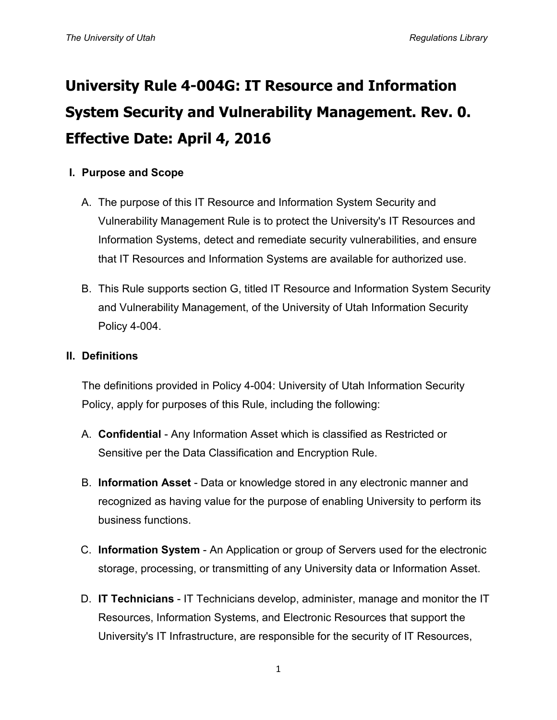# **University Rule 4-004G: IT Resource and Information System Security and Vulnerability Management. Rev. 0. Effective Date: April 4, 2016**

# **I. Purpose and Scope**

- A. The purpose of this IT Resource and Information System Security and Vulnerability Management Rule is to protect the University's IT Resources and Information Systems, detect and remediate security vulnerabilities, and ensure that IT Resources and Information Systems are available for authorized use.
- B. This Rule supports section G, titled IT Resource and Information System Security and Vulnerability Management, of the University of Utah Information Security Policy 4-004.

#### **II. Definitions**

The definitions provided in Policy 4-004: University of Utah Information Security Policy, apply for purposes of this Rule, including the following:

- A. **Confidential** Any Information Asset which is classified as Restricted or Sensitive per the Data Classification and Encryption Rule.
- B. **Information Asset** Data or knowledge stored in any electronic manner and recognized as having value for the purpose of enabling University to perform its business functions.
- C. **Information System** An Application or group of Servers used for the electronic storage, processing, or transmitting of any University data or Information Asset.
- D. **IT Technicians** IT Technicians develop, administer, manage and monitor the IT Resources, Information Systems, and Electronic Resources that support the University's IT Infrastructure, are responsible for the security of IT Resources,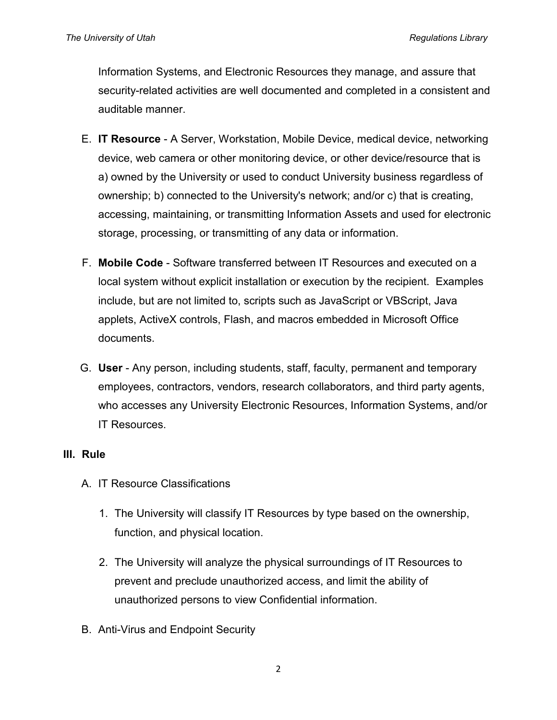Information Systems, and Electronic Resources they manage, and assure that security-related activities are well documented and completed in a consistent and auditable manner.

- E. **IT Resource** A Server, Workstation, Mobile Device, medical device, networking device, web camera or other monitoring device, or other device/resource that is a) owned by the University or used to conduct University business regardless of ownership; b) connected to the University's network; and/or c) that is creating, accessing, maintaining, or transmitting Information Assets and used for electronic storage, processing, or transmitting of any data or information.
- F. **Mobile Code** Software transferred between IT Resources and executed on a local system without explicit installation or execution by the recipient. Examples include, but are not limited to, scripts such as JavaScript or VBScript, Java applets, ActiveX controls, Flash, and macros embedded in Microsoft Office documents.
- G. **User** Any person, including students, staff, faculty, permanent and temporary employees, contractors, vendors, research collaborators, and third party agents, who accesses any University Electronic Resources, Information Systems, and/or IT Resources.

### **III. Rule**

- A. IT Resource Classifications
	- 1. The University will classify IT Resources by type based on the ownership, function, and physical location.
	- 2. The University will analyze the physical surroundings of IT Resources to prevent and preclude unauthorized access, and limit the ability of unauthorized persons to view Confidential information.
- B. Anti-Virus and Endpoint Security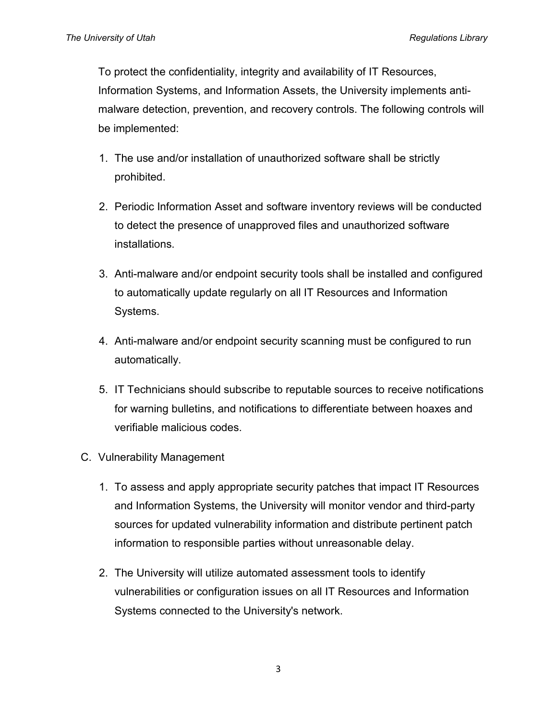To protect the confidentiality, integrity and availability of IT Resources, Information Systems, and Information Assets, the University implements antimalware detection, prevention, and recovery controls. The following controls will be implemented:

- 1. The use and/or installation of unauthorized software shall be strictly prohibited.
- 2. Periodic Information Asset and software inventory reviews will be conducted to detect the presence of unapproved files and unauthorized software installations.
- 3. Anti-malware and/or endpoint security tools shall be installed and configured to automatically update regularly on all IT Resources and Information Systems.
- 4. Anti-malware and/or endpoint security scanning must be configured to run automatically.
- 5. IT Technicians should subscribe to reputable sources to receive notifications for warning bulletins, and notifications to differentiate between hoaxes and verifiable malicious codes.
- C. Vulnerability Management
	- 1. To assess and apply appropriate security patches that impact IT Resources and Information Systems, the University will monitor vendor and third-party sources for updated vulnerability information and distribute pertinent patch information to responsible parties without unreasonable delay.
	- 2. The University will utilize automated assessment tools to identify vulnerabilities or configuration issues on all IT Resources and Information Systems connected to the University's network.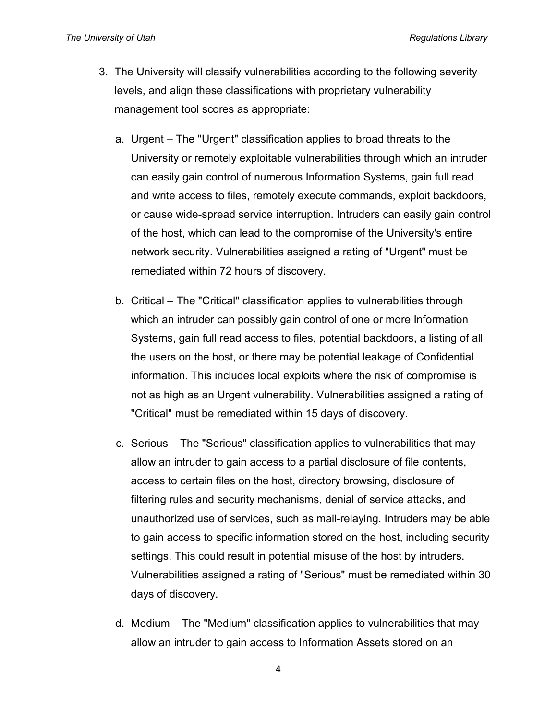- 3. The University will classify vulnerabilities according to the following severity levels, and align these classifications with proprietary vulnerability management tool scores as appropriate:
	- a. Urgent The "Urgent" classification applies to broad threats to the University or remotely exploitable vulnerabilities through which an intruder can easily gain control of numerous Information Systems, gain full read and write access to files, remotely execute commands, exploit backdoors, or cause wide-spread service interruption. Intruders can easily gain control of the host, which can lead to the compromise of the University's entire network security. Vulnerabilities assigned a rating of "Urgent" must be remediated within 72 hours of discovery.
	- b. Critical The "Critical" classification applies to vulnerabilities through which an intruder can possibly gain control of one or more Information Systems, gain full read access to files, potential backdoors, a listing of all the users on the host, or there may be potential leakage of Confidential information. This includes local exploits where the risk of compromise is not as high as an Urgent vulnerability. Vulnerabilities assigned a rating of "Critical" must be remediated within 15 days of discovery.
	- c. Serious The "Serious" classification applies to vulnerabilities that may allow an intruder to gain access to a partial disclosure of file contents, access to certain files on the host, directory browsing, disclosure of filtering rules and security mechanisms, denial of service attacks, and unauthorized use of services, such as mail-relaying. Intruders may be able to gain access to specific information stored on the host, including security settings. This could result in potential misuse of the host by intruders. Vulnerabilities assigned a rating of "Serious" must be remediated within 30 days of discovery.
	- d. Medium The "Medium" classification applies to vulnerabilities that may allow an intruder to gain access to Information Assets stored on an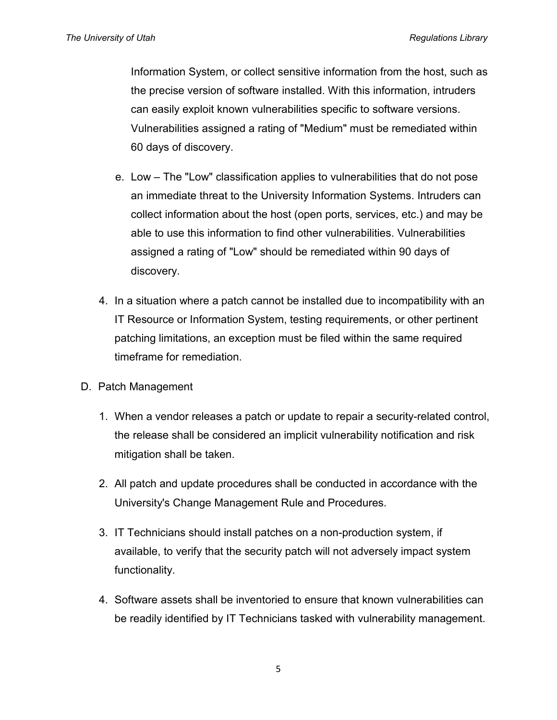Information System, or collect sensitive information from the host, such as the precise version of software installed. With this information, intruders can easily exploit known vulnerabilities specific to software versions. Vulnerabilities assigned a rating of "Medium" must be remediated within 60 days of discovery.

- e. Low The "Low" classification applies to vulnerabilities that do not pose an immediate threat to the University Information Systems. Intruders can collect information about the host (open ports, services, etc.) and may be able to use this information to find other vulnerabilities. Vulnerabilities assigned a rating of "Low" should be remediated within 90 days of discovery.
- 4. In a situation where a patch cannot be installed due to incompatibility with an IT Resource or Information System, testing requirements, or other pertinent patching limitations, an exception must be filed within the same required timeframe for remediation.
- D. Patch Management
	- 1. When a vendor releases a patch or update to repair a security-related control, the release shall be considered an implicit vulnerability notification and risk mitigation shall be taken.
	- 2. All patch and update procedures shall be conducted in accordance with the University's Change Management Rule and Procedures.
	- 3. IT Technicians should install patches on a non-production system, if available, to verify that the security patch will not adversely impact system functionality.
	- 4. Software assets shall be inventoried to ensure that known vulnerabilities can be readily identified by IT Technicians tasked with vulnerability management.

5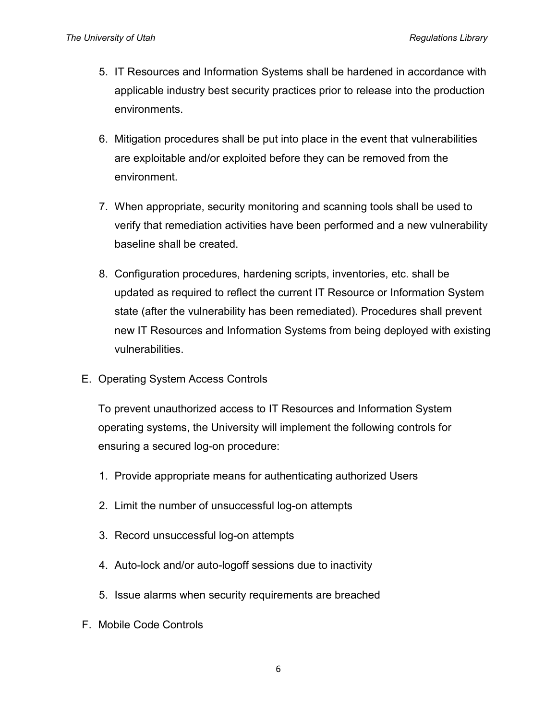- 5. IT Resources and Information Systems shall be hardened in accordance with applicable industry best security practices prior to release into the production environments.
- 6. Mitigation procedures shall be put into place in the event that vulnerabilities are exploitable and/or exploited before they can be removed from the environment.
- 7. When appropriate, security monitoring and scanning tools shall be used to verify that remediation activities have been performed and a new vulnerability baseline shall be created.
- 8. Configuration procedures, hardening scripts, inventories, etc. shall be updated as required to reflect the current IT Resource or Information System state (after the vulnerability has been remediated). Procedures shall prevent new IT Resources and Information Systems from being deployed with existing vulnerabilities.
- E. Operating System Access Controls

To prevent unauthorized access to IT Resources and Information System operating systems, the University will implement the following controls for ensuring a secured log-on procedure:

- 1. Provide appropriate means for authenticating authorized Users
- 2. Limit the number of unsuccessful log-on attempts
- 3. Record unsuccessful log-on attempts
- 4. Auto-lock and/or auto-logoff sessions due to inactivity
- 5. Issue alarms when security requirements are breached
- F. Mobile Code Controls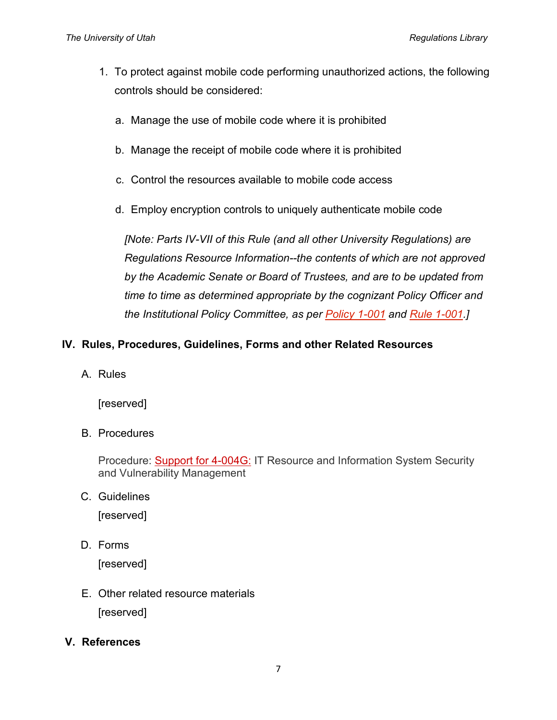- 1. To protect against mobile code performing unauthorized actions, the following controls should be considered:
	- a. Manage the use of mobile code where it is prohibited
	- b. Manage the receipt of mobile code where it is prohibited
	- c. Control the resources available to mobile code access
	- d. Employ encryption controls to uniquely authenticate mobile code

*[Note: Parts IV-VII of this Rule (and all other University Regulations) are Regulations Resource Information--the contents of which are not approved by the Academic Senate or Board of Trustees, and are to be updated from time to time as determined appropriate by the cognizant Policy Officer and the Institutional Policy Committee, as per [Policy 1-001](http://regulations.utah.edu/general/1-001.php) and [Rule 1-001.](http://regulations.utah.edu/general/rules/R1-001.php)]*

# **IV. Rules, Procedures, Guidelines, Forms and other Related Resources**

A. Rules

[reserved]

B. Procedures

Procedure: [Support for 4-004G:](https://regulations.utah.edu/it/Procedures/p4-004g.php) IT Resource and Information System Security and Vulnerability Management

C. Guidelines

[reserved]

D. Forms

[reserved]

- E. Other related resource materials [reserved]
- **V. References**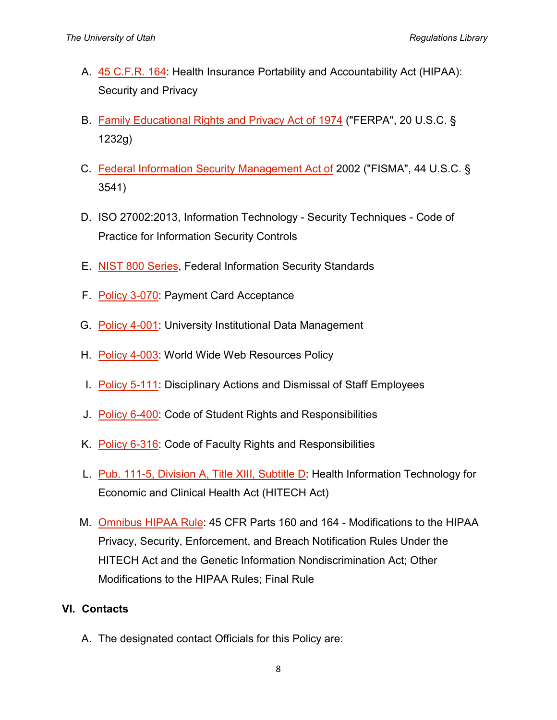- A. [45 C.F.R. 164:](http://www.gpo.gov/fdsys/pkg/CFR-2011-title45-vol1/pdf/CFR-2011-title45-vol1-part164.pdf) Health Insurance Portability and Accountability Act (HIPAA): Security and Privacy
- B. [Family Educational Rights and Privacy Act of 1974](http://www2.ed.gov/policy/gen/guid/fpco/ferpa/index.html) ("FERPA", 20 U.S.C. § 1232g)
- C. [Federal Information Security Management Act of](http://www.dhs.gov/federal-information-security-management-act-fisma) 2002 ("FISMA", 44 U.S.C. § 3541)
- D. ISO 27002:2013, Information Technology Security Techniques Code of Practice for Information Security Controls
- E. [NIST 800 Series,](http://csrc.nist.gov/publications/PubsSPs.html) Federal Information Security Standards
- F. [Policy 3-070:](http://regulations.utah.edu/administration/3-070.php) Payment Card Acceptance
- G. [Policy 4-001:](http://regulations.utah.edu/it/4-001.php) University Institutional Data Management
- H. [Policy 4-003:](http://regulations.utah.edu/it/4-003.php) World Wide Web Resources Policy
- I. [Policy 5-111:](http://regulations.utah.edu/human-resources/5-111.php) Disciplinary Actions and Dismissal of Staff Employees
- J. [Policy 6-400:](http://regulations.utah.edu/academics/6-400.php) Code of Student Rights and Responsibilities
- K. [Policy 6-316:](http://regulations.utah.edu/academics/6-316.php) Code of Faculty Rights and Responsibilities
- L. [Pub. 111-5, Division A, Title XIII, Subtitle D:](http://www.hhs.gov/ocr/privacy/hipaa/understanding/coveredentities/hitechact.pdf) Health Information Technology for Economic and Clinical Health Act (HITECH Act)
- M. [Omnibus HIPAA Rule:](http://www.gpo.gov/fdsys/pkg/FR-2013-01-25/pdf/2013-01073.pdf) 45 CFR Parts 160 and 164 Modifications to the HIPAA Privacy, Security, Enforcement, and Breach Notification Rules Under the HITECH Act and the Genetic Information Nondiscrimination Act; Other Modifications to the HIPAA Rules; Final Rule

### **VI. Contacts**

A. The designated contact Officials for this Policy are: